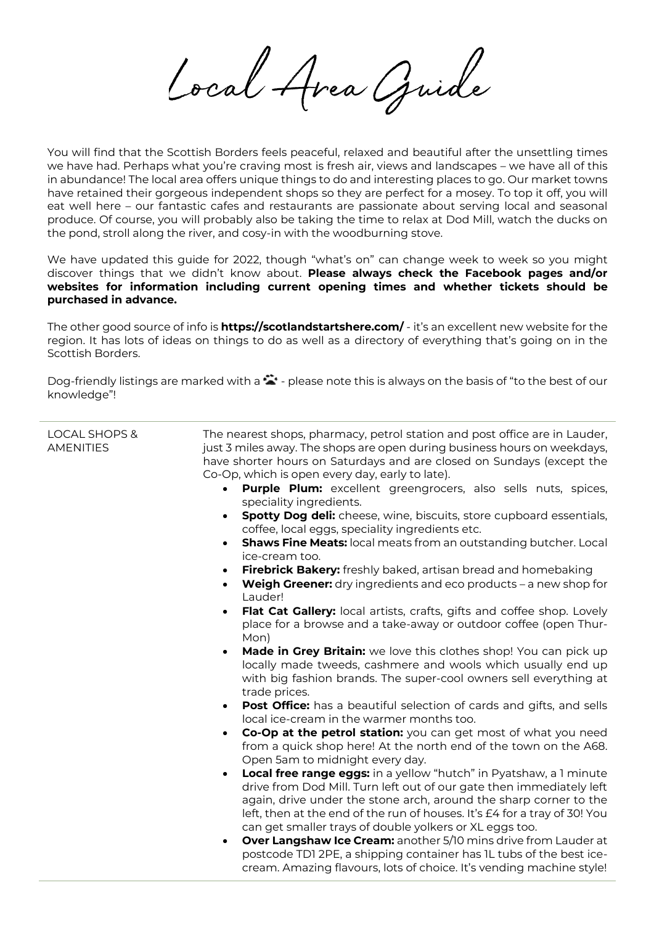Cocal Avea Quide

You will find that the Scottish Borders feels peaceful, relaxed and beautiful after the unsettling times we have had. Perhaps what you're craving most is fresh air, views and landscapes – we have all of this in abundance! The local area offers unique things to do and interesting places to go. Our market towns have retained their gorgeous independent shops so they are perfect for a mosey. To top it off, you will eat well here – our fantastic cafes and restaurants are passionate about serving local and seasonal produce. Of course, you will probably also be taking the time to relax at Dod Mill, watch the ducks on the pond, stroll along the river, and cosy-in with the woodburning stove.

We have updated this guide for 2022, though "what's on" can change week to week so you might discover things that we didn't know about. **Please always check the Facebook pages and/or websites for information including current opening times and whether tickets should be purchased in advance.**

The other good source of info is **<https://scotlandstartshere.com/>** - it's an excellent new website for the region. It has lots of ideas on things to do as well as a directory of everything that's going on in the Scottish Borders.

Dog-friendly listings are marked with a  $\ddot{\bullet}$  - please note this is always on the basis of "to the best of our knowledge"!

| <b>LOCAL SHOPS &amp;</b><br>AMENITIES | The nearest shops, pharmacy, petrol station and post office are in Lauder,<br>just 3 miles away. The shops are open during business hours on weekdays,<br>have shorter hours on Saturdays and are closed on Sundays (except the<br>Co-Op, which is open every day, early to late). |
|---------------------------------------|------------------------------------------------------------------------------------------------------------------------------------------------------------------------------------------------------------------------------------------------------------------------------------|
|                                       | Purple Plum: excellent greengrocers, also sells nuts, spices,<br>$\bullet$<br>speciality ingredients.                                                                                                                                                                              |
|                                       | <b>Spotty Dog deli:</b> cheese, wine, biscuits, store cupboard essentials,<br>coffee, local eggs, speciality ingredients etc.                                                                                                                                                      |
|                                       | <b>Shaws Fine Meats:</b> local meats from an outstanding butcher. Local<br>$\bullet$<br>ice-cream too.                                                                                                                                                                             |
|                                       | <b>Firebrick Bakery:</b> freshly baked, artisan bread and homebaking<br>$\bullet$                                                                                                                                                                                                  |
|                                       | <b>Weigh Greener:</b> dry ingredients and eco products $-$ a new shop for<br>Lauder!                                                                                                                                                                                               |
|                                       | <b>Flat Cat Gallery:</b> local artists, crafts, gifts and coffee shop. Lovely<br>place for a browse and a take-away or outdoor coffee (open Thur-<br>Mon)                                                                                                                          |
|                                       | Made in Grey Britain: we love this clothes shop! You can pick up<br>$\bullet$<br>locally made tweeds, cashmere and wools which usually end up<br>with big fashion brands. The super-cool owners sell everything at<br>trade prices.                                                |
|                                       | <b>Post Office:</b> has a beautiful selection of cards and gifts, and sells<br>local ice-cream in the warmer months too.                                                                                                                                                           |
|                                       | Co-Op at the petrol station: you can get most of what you need<br>from a quick shop here! At the north end of the town on the A68.<br>Open 5am to midnight every day.                                                                                                              |
|                                       | <b>Local free range eggs:</b> in a yellow "hutch" in Pyatshaw, a 1 minute<br>drive from Dod Mill. Turn left out of our gate then immediately left                                                                                                                                  |
|                                       | again, drive under the stone arch, around the sharp corner to the<br>left, then at the end of the run of houses. It's £4 for a tray of 30! You                                                                                                                                     |
|                                       | can get smaller trays of double yolkers or XL eggs too.                                                                                                                                                                                                                            |
|                                       | <b>Over Langshaw Ice Cream:</b> another 5/10 mins drive from Lauder at<br>$\bullet$<br>postcode TD1 2PE, a shipping container has 1L tubs of the best ice-<br>cream. Amazing flavours, lots of choice. It's vending machine style!                                                 |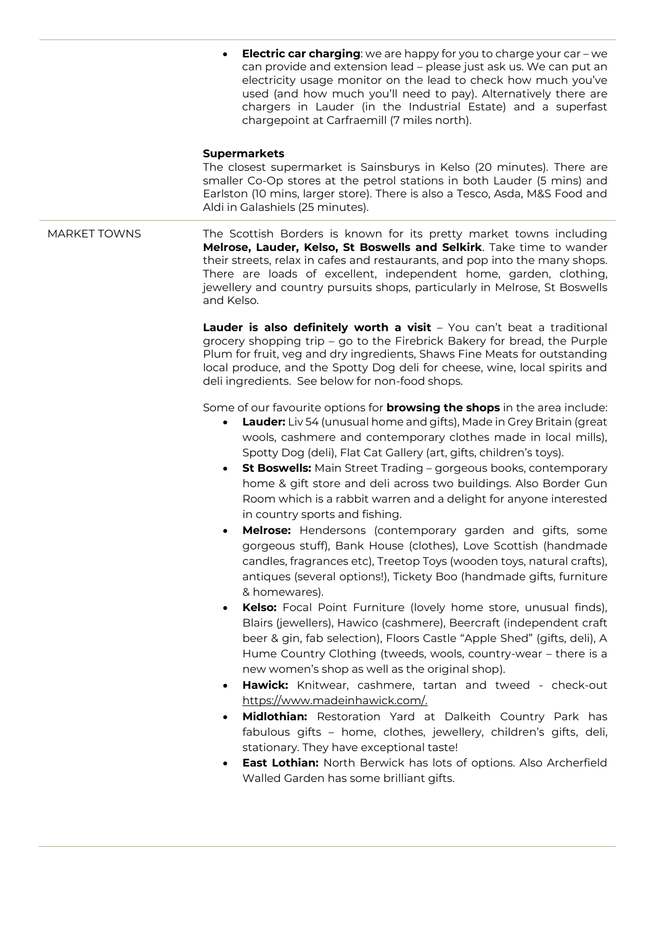• **Electric car charging**: we are happy for you to charge your car – we can provide and extension lead – please just ask us. We can put an electricity usage monitor on the lead to check how much you've used (and how much you'll need to pay). Alternatively there are chargers in Lauder (in the Industrial Estate) and a superfast chargepoint at Carfraemill (7 miles north). **Supermarkets** The closest supermarket is Sainsburys in Kelso (20 minutes). There are smaller Co-Op stores at the petrol stations in both Lauder (5 mins) and Earlston (10 mins, larger store). There is also a Tesco, Asda, M&S Food and Aldi in Galashiels (25 minutes). MARKET TOWNS The Scottish Borders is known for its pretty market towns including **Melrose, Lauder, Kelso, St Boswells and Selkirk**. Take time to wander their streets, relax in cafes and restaurants, and pop into the many shops. There are loads of excellent, independent home, garden, clothing, jewellery and country pursuits shops, particularly in Melrose, St Boswells and Kelso. **Lauder is also definitely worth a visit** – You can't beat a traditional grocery shopping trip – go to the Firebrick Bakery for bread, the Purple Plum for fruit, veg and dry ingredients, Shaws Fine Meats for outstanding local produce, and the Spotty Dog deli for cheese, wine, local spirits and deli ingredients. See below for non-food shops. Some of our favourite options for **browsing the shops** in the area include: • **Lauder:** Liv 54 (unusual home and gifts), Made in Grey Britain (great wools, cashmere and contemporary clothes made in local mills), Spotty Dog (deli), Flat Cat Gallery (art, gifts, children's toys). • **St Boswells:** Main Street Trading – gorgeous books, contemporary home & gift store and deli across two buildings. Also Border Gun Room which is a rabbit warren and a delight for anyone interested in country sports and fishing. • **Melrose:** Hendersons (contemporary garden and gifts, some gorgeous stuff), Bank House (clothes), Love Scottish (handmade candles, fragrances etc), Treetop Toys (wooden toys, natural crafts), antiques (several options!), Tickety Boo (handmade gifts, furniture & homewares). • **Kelso:** Focal Point Furniture (lovely home store, unusual finds), Blairs (jewellers), Hawico (cashmere), Beercraft (independent craft beer & gin, fab selection), Floors Castle "Apple Shed" (gifts, deli), A Hume Country Clothing (tweeds, wools, country-wear – there is a new women's shop as well as the original shop). • **Hawick:** Knitwear, cashmere, tartan and tweed - check-out [https://www.madeinhawick.com/.](https://www.madeinhawick.com/) • **Midlothian:** Restoration Yard at Dalkeith Country Park has fabulous gifts – home, clothes, jewellery, children's gifts, deli, stationary. They have exceptional taste! **East Lothian:** North Berwick has lots of options. Also Archerfield Walled Garden has some brilliant gifts.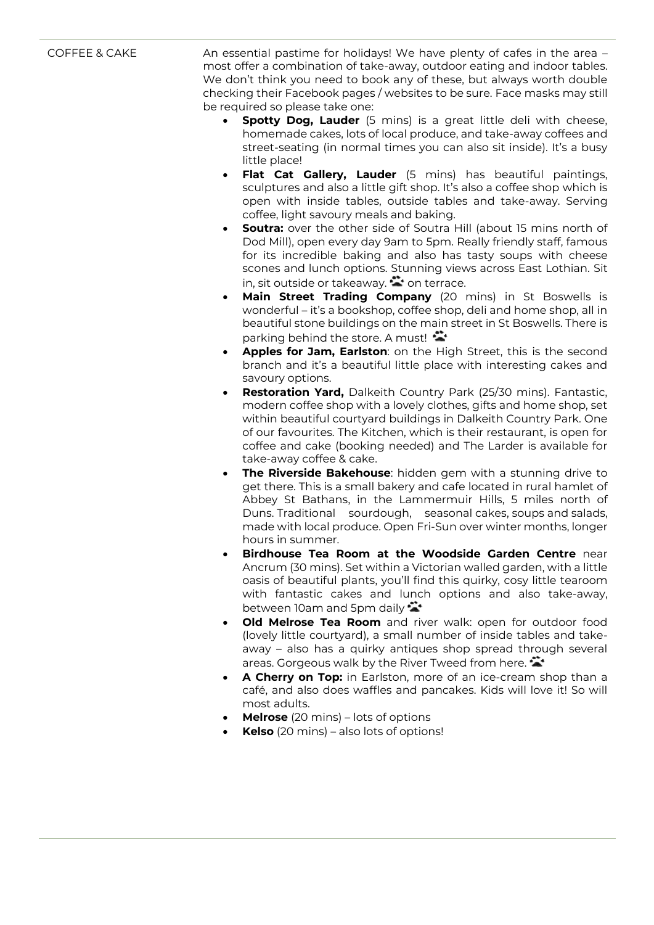COFFEE & CAKE An essential pastime for holidays! We have plenty of cafes in the area most offer a combination of take-away, outdoor eating and indoor tables. We don't think you need to book any of these, but always worth double checking their Facebook pages / websites to be sure. Face masks may still be required so please take one:

- **Spotty Dog, Lauder** (5 mins) is a great little deli with cheese, homemade cakes, lots of local produce, and take-away coffees and street-seating (in normal times you can also sit inside). It's a busy little place!
- **Flat Cat Gallery, Lauder** (5 mins) has beautiful paintings, sculptures and also a little gift shop. It's also a coffee shop which is open with inside tables, outside tables and take-away. Serving coffee, light savoury meals and baking.
- **Soutra:** over the other side of Soutra Hill (about 15 mins north of Dod Mill), open every day 9am to 5pm. Really friendly staff, famous for its incredible baking and also has tasty soups with cheese scones and lunch options. Stunning views across East Lothian. Sit in, sit outside or takeaway.  $\blacktriangleright$  on terrace.
- **Main Street Trading Company** (20 mins) in St Boswells is wonderful – it's a bookshop, coffee shop, deli and home shop, all in beautiful stone buildings on the main street in St Boswells. There is parking behind the store. A must!
- **Apples for Jam, Earlston**: on the High Street, this is the second branch and it's a beautiful little place with interesting cakes and savoury options.
- **Restoration Yard,** Dalkeith Country Park (25/30 mins). Fantastic, modern coffee shop with a lovely clothes, gifts and home shop, set within beautiful courtyard buildings in Dalkeith Country Park. One of our favourites. The Kitchen, which is their restaurant, is open for coffee and cake (booking needed) and The Larder is available for take-away coffee & cake.
- **The Riverside Bakehouse**: hidden gem with a stunning drive to get there. This is a small bakery and cafe located in rural hamlet of Abbey St Bathans, in the Lammermuir Hills, 5 miles north of Duns. Traditional sourdough, seasonal cakes, soups and salads, made with local produce. Open Fri-Sun over winter months, longer hours in summer.
- **Birdhouse Tea Room at the Woodside Garden Centre** near Ancrum (30 mins). Set within a Victorian walled garden, with a little oasis of beautiful plants, you'll find this quirky, cosy little tearoom with fantastic cakes and lunch options and also take-away, between 10am and 5pm daily  $\ddot{\bullet}$
- **Old Melrose Tea Room** and river walk: open for outdoor food (lovely little courtyard), a small number of inside tables and takeaway – also has a quirky antiques shop spread through several areas. Gorgeous walk by the River Tweed from here.
- **A Cherry on Top:** in Earlston, more of an ice-cream shop than a café, and also does waffles and pancakes. Kids will love it! So will most adults.
- **Melrose** (20 mins) lots of options
- **Kelso** (20 mins) also lots of options!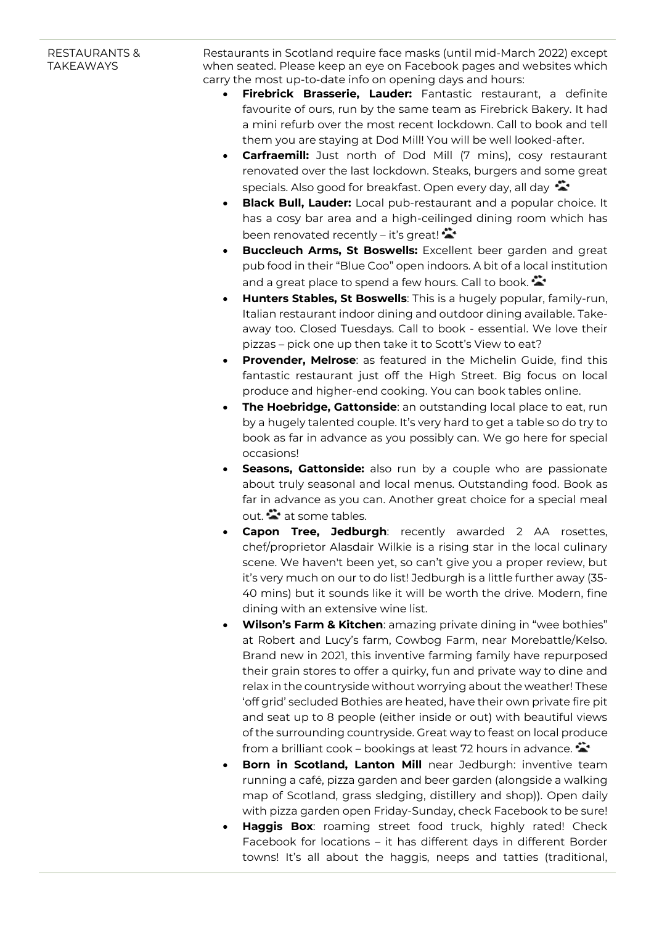## RESTAURANTS & **TAKFAWAYS**

Restaurants in Scotland require face masks (until mid-March 2022) except when seated. Please keep an eye on Facebook pages and websites which carry the most up-to-date info on opening days and hours:

- **Firebrick Brasserie, Lauder:** Fantastic restaurant, a definite favourite of ours, run by the same team as Firebrick Bakery. It had a mini refurb over the most recent lockdown. Call to book and tell them you are staying at Dod Mill! You will be well looked-after.
- **Carfraemill:** Just north of Dod Mill (7 mins), cosy restaurant renovated over the last lockdown. Steaks, burgers and some great specials. Also good for breakfast. Open every day, all day
- **Black Bull, Lauder:** Local pub-restaurant and a popular choice. It has a cosy bar area and a high-ceilinged dining room which has been renovated recently – it's great!
- **Buccleuch Arms, St Boswells:** Excellent beer garden and great pub food in their "Blue Coo" open indoors. A bit of a local institution and a great place to spend a few hours. Call to book.
- **Hunters Stables, St Boswells**: This is a hugely popular, family-run, Italian restaurant indoor dining and outdoor dining available. Takeaway too. Closed Tuesdays. Call to book - essential. We love their pizzas – pick one up then take it to Scott's View to eat?
- **Provender, Melrose**: as featured in the Michelin Guide, find this fantastic restaurant just off the High Street. Big focus on local produce and higher-end cooking. You can book tables online.
- **The Hoebridge, Gattonside**: an outstanding local place to eat, run by a hugely talented couple. It's very hard to get a table so do try to book as far in advance as you possibly can. We go here for special occasions!
- **Seasons, Gattonside:** also run by a couple who are passionate about truly seasonal and local menus. Outstanding food. Book as far in advance as you can. Another great choice for a special meal out.  $\ddot{\bullet}$  at some tables.
- **Capon Tree, Jedburgh**: recently awarded 2 AA rosettes, chef/proprietor Alasdair Wilkie is a rising star in the local culinary scene. We haven't been yet, so can't give you a proper review, but it's very much on our to do list! Jedburgh is a little further away (35- 40 mins) but it sounds like it will be worth the drive. Modern, fine dining with an extensive wine list.
- **Wilson's Farm & Kitchen:** amazing private dining in "wee bothies" at Robert and Lucy's farm, Cowbog Farm, near Morebattle/Kelso. Brand new in 2021, this inventive farming family have repurposed their grain stores to offer a quirky, fun and private way to dine and relax in the countryside without worrying about the weather! These 'off grid' secluded Bothies are heated, have their own private fire pit and seat up to 8 people (either inside or out) with beautiful views of the surrounding countryside. Great way to feast on local produce from a brilliant cook – bookings at least 72 hours in advance.
- **Born in Scotland, Lanton Mill** near Jedburgh: inventive team running a café, pizza garden and beer garden (alongside a walking map of Scotland, grass sledging, distillery and shop)). Open daily with pizza garden open Friday-Sunday, check Facebook to be sure!
- **Haggis Box:** roaming street food truck, highly rated! Check Facebook for locations – it has different days in different Border towns! It's all about the haggis, neeps and tatties (traditional,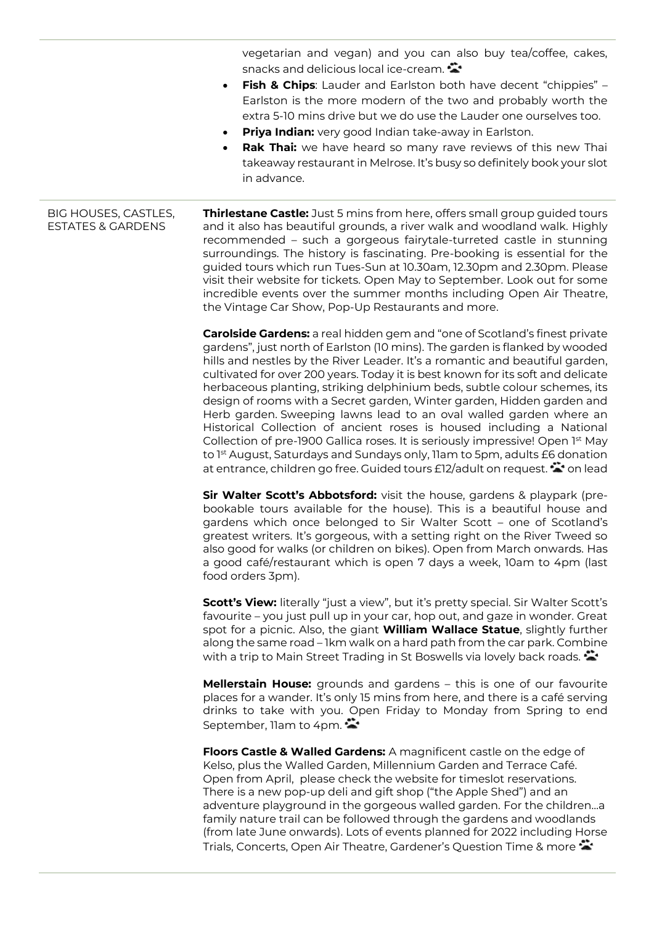vegetarian and vegan) and you can also buy tea/coffee, cakes, snacks and delicious local ice-cream.

- **Fish & Chips**: Lauder and Earlston both have decent "chippies" Earlston is the more modern of the two and probably worth the extra 5-10 mins drive but we do use the Lauder one ourselves too.
- **Priya Indian:** very good Indian take-away in Earlston.
- **Rak Thai:** we have heard so many rave reviews of this new Thai takeaway restaurant in Melrose. It's busy so definitely book your slot in advance.

BIG HOUSES, CASTLES, ESTATES & GARDENS **Thirlestane Castle:** Just 5 mins from here, offers small group guided tours and it also has beautiful grounds, a river walk and woodland walk. Highly recommended – such a gorgeous fairytale-turreted castle in stunning surroundings. The history is fascinating. Pre-booking is essential for the guided tours which run Tues-Sun at 10.30am, 12.30pm and 2.30pm. Please visit their website for tickets. Open May to September. Look out for some incredible events over the summer months including Open Air Theatre, the Vintage Car Show, Pop-Up Restaurants and more.

> **Carolside Gardens:** a real hidden gem and "one of Scotland's finest private gardens", just north of Earlston (10 mins). The garden is flanked by wooded hills and nestles by the River Leader. It's a romantic and beautiful garden, cultivated for over 200 years. Today it is best known for its soft and delicate herbaceous planting, striking delphinium beds, subtle colour schemes, its design of rooms with a Secret garden, Winter garden, Hidden garden and Herb garden. Sweeping lawns lead to an oval walled garden where an Historical Collection of ancient roses is housed including a National Collection of pre-1900 Gallica roses. It is seriously impressive! Open 1st May to 1<sup>st</sup> August, Saturdays and Sundays only, 11am to 5pm, adults £6 donation at entrance, children go free. Guided tours £12/adult on request.  $\clubsuit$  on lead

> **Sir Walter Scott's Abbotsford:** visit the house, gardens & playpark (prebookable tours available for the house). This is a beautiful house and gardens which once belonged to Sir Walter Scott – one of Scotland's greatest writers. It's gorgeous, with a setting right on the River Tweed so also good for walks (or children on bikes). Open from March onwards. Has a good café/restaurant which is open 7 days a week, 10am to 4pm (last food orders 3pm).

> **Scott's View:** literally "just a view", but it's pretty special. Sir Walter Scott's favourite – you just pull up in your car, hop out, and gaze in wonder. Great spot for a picnic. Also, the giant **William Wallace Statue**, slightly further along the same road – 1km walk on a hard path from the car park. Combine with a trip to Main Street Trading in St Boswells via lovely back roads.

> **Mellerstain House:** grounds and gardens – this is one of our favourite places for a wander. It's only 15 mins from here, and there is a café serving drinks to take with you. Open Friday to Monday from Spring to end September, Ilam to 4pm.

> **Floors Castle & Walled Gardens:** A magnificent castle on the edge of Kelso, plus the Walled Garden, Millennium Garden and Terrace Café. Open from April, please check the website for timeslot reservations. There is a new pop-up deli and gift shop ("the Apple Shed") and an adventure playground in the gorgeous walled garden. For the children…a family nature trail can be followed through the gardens and woodlands (from late June onwards). Lots of events planned for 2022 including Horse Trials, Concerts, Open Air Theatre, Gardener's Question Time & more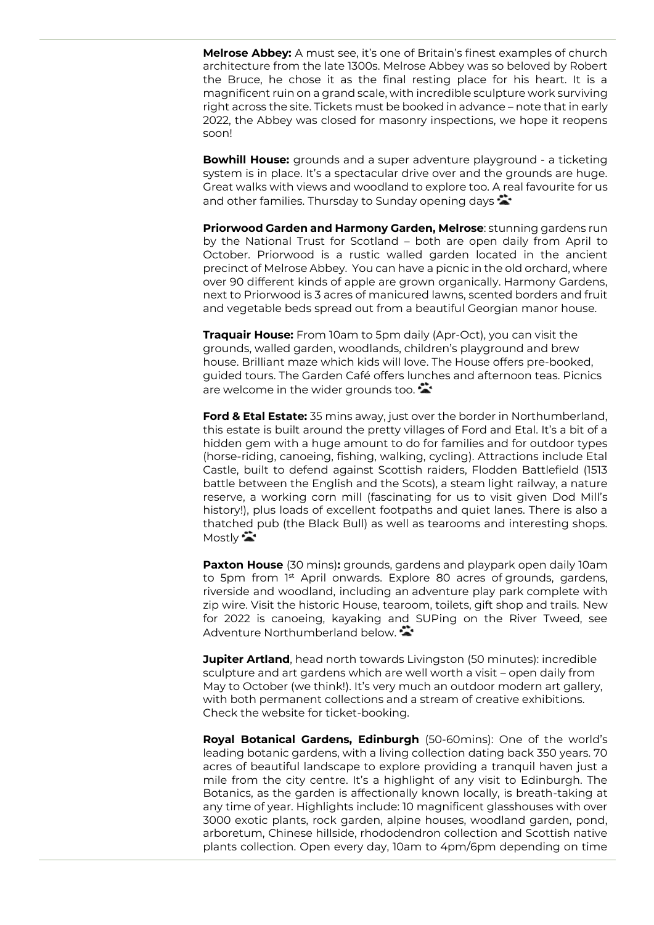**Melrose Abbey:** A must see, it's one of Britain's finest examples of church architecture from the late 1300s. Melrose Abbey was so beloved by Robert the Bruce, he chose it as the final resting place for his heart. It is a magnificent ruin on a grand scale, with incredible sculpture work surviving right across the site. Tickets must be booked in advance – note that in early 2022, the Abbey was closed for masonry inspections, we hope it reopens soon!

**Bowhill House:** grounds and a super adventure playground - a ticketing system is in place. It's a spectacular drive over and the grounds are huge. Great walks with views and woodland to explore too. A real favourite for us and other families. Thursday to Sunday opening days  $\ddot{\ddot{}}$ 

**Priorwood Garden and Harmony Garden, Melrose**: stunning gardens run by the National Trust for Scotland – both are open daily from April to October. Priorwood is a rustic walled garden located in the ancient precinct of Melrose Abbey. You can have a picnic in the old orchard, where over 90 different kinds of apple are grown organically. Harmony Gardens, next to Priorwood is 3 acres of manicured lawns, scented borders and fruit and vegetable beds spread out from a beautiful Georgian manor house.

**Traquair House:** From 10am to 5pm daily (Apr-Oct), you can visit the grounds, walled garden, woodlands, children's playground and brew house. Brilliant maze which kids will love. The House offers pre-booked, guided tours. The Garden Café offers lunches and afternoon teas. Picnics are welcome in the wider grounds too.

**Ford & Etal Estate:** 35 mins away, just over the border in Northumberland, this estate is built around the pretty villages of Ford and Etal. It's a bit of a hidden gem with a huge amount to do for families and for outdoor types (horse-riding, canoeing, fishing, walking, cycling). Attractions include Etal Castle, built to defend against Scottish raiders, Flodden Battlefield (1513 battle between the English and the Scots), a steam light railway, a nature reserve, a working corn mill (fascinating for us to visit given Dod Mill's history!), plus loads of excellent footpaths and quiet lanes. There is also a thatched pub (the Black Bull) as well as tearooms and interesting shops. Mostly  $\ddot{\bullet}$ 

**Paxton House** (30 mins)**:** grounds, gardens and playpark open daily 10am to 5pm from 1<sup>st</sup> April onwards. Explore 80 acres of [grounds,](https://paxtonhouse.co.uk/grounds-gardens/) gardens, riverside and woodland, including an [adventure play park](https://paxtonhouse.co.uk/family-adventures/) complete with zip wire. Visit the historic House, tearoom, toilets, gift shop and trails. New for 2022 is canoeing, kayaking and SUPing on the River Tweed, see Adventure Northumberland below.

**Jupiter Artland**, head north towards Livingston (50 minutes): incredible sculpture and art gardens which are well worth a visit – open daily from May to October (we think!). It's very much an outdoor modern art gallery, with both permanent collections and a stream of creative exhibitions. Check the website for ticket-booking.

**Royal Botanical Gardens, Edinburgh** (50-60mins): One of the world's leading botanic gardens, with a living collection dating back 350 years. 70 acres of beautiful landscape to explore providing a tranquil haven just a mile from the city centre. It's a highlight of any visit to Edinburgh. The Botanics, as the garden is affectionally known locally, is breath-taking at any time of year. Highlights include: 10 magnificent glasshouses with over 3000 exotic plants, rock garden, alpine houses, woodland garden, pond, arboretum, Chinese hillside, rhododendron collection and Scottish native plants collection. Open every day, 10am to 4pm/6pm depending on time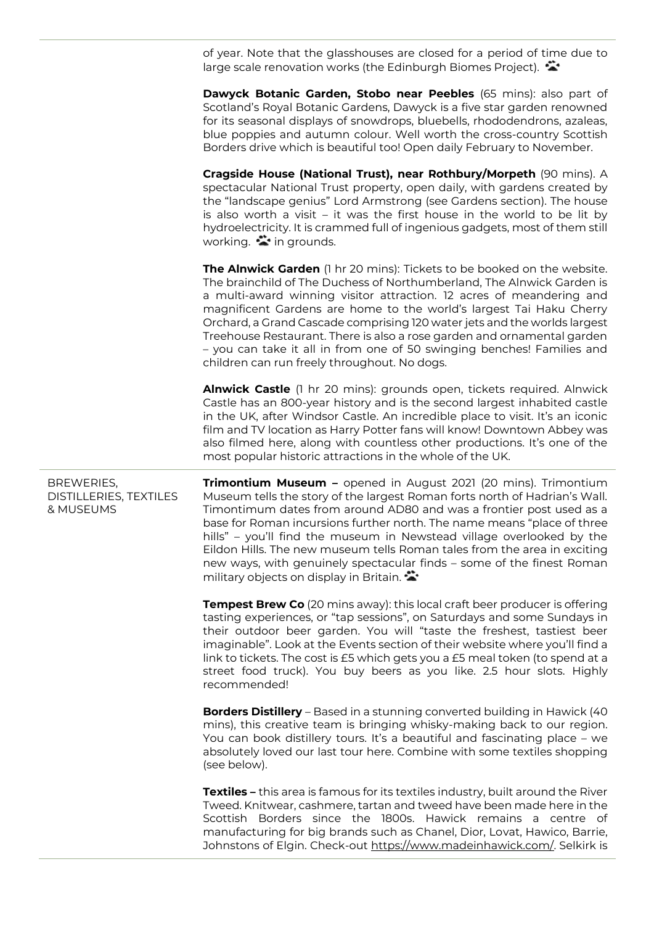of year. Note that the glasshouses are closed for a period of time due to large scale renovation works (the Edinburgh Biomes Project).

**Dawyck Botanic Garden, Stobo near Peebles** (65 mins): also part of Scotland's Royal Botanic Gardens, Dawyck is a five star garden renowned for its seasonal displays of snowdrops, bluebells, rhododendrons, azaleas, blue poppies and autumn colour. Well worth the cross-country Scottish Borders drive which is beautiful too! Open daily February to November.

**Cragside House (National Trust), near Rothbury/Morpeth** (90 mins). A spectacular National Trust property, open daily, with gardens created by the "landscape genius" Lord Armstrong (see Gardens section). The house is also worth a visit – it was the first house in the world to be lit by hydroelectricity. It is crammed full of ingenious gadgets, most of them still working.  $\ddot{\bullet}$  in grounds.

**The Alnwick Garden** (1 hr 20 mins): Tickets to be booked on the website. The brainchild of The Duchess of Northumberland, The Alnwick Garden is a multi-award winning visitor attraction. 12 acres of meandering and magnificent Gardens are home to the world's largest Tai Haku Cherry Orchard, a Grand Cascade comprising 120 water jets and the worlds largest Treehouse Restaurant. There is also a rose garden and ornamental garden – you can take it all in from one of 50 swinging benches! Families and children can run freely throughout. No dogs.

**Alnwick Castle** (1 hr 20 mins): grounds open, tickets required. Alnwick Castle has an 800-year history and is the second largest inhabited castle in the UK, after Windsor Castle. An incredible place to visit. It's an iconic film and TV location as Harry Potter fans will know! Downtown Abbey was also filmed here, along with countless other productions. It's one of the most popular historic attractions in the whole of the UK.

BREWERIES, DISTILLERIES, TEXTILES & MUSEUMS **Trimontium Museum –** opened in August 2021 (20 mins). Trimontium Museum tells the story of the largest Roman forts north of Hadrian's Wall. Timontimum dates from around AD80 and was a frontier post used as a base for Roman incursions further north. The name means "place of three hills" – you'll find the museum in Newstead village overlooked by the Eildon Hills. The new museum tells Roman tales from the area in exciting new ways, with genuinely spectacular finds – some of the finest Roman military objects on display in Britain.

> **Tempest Brew Co** (20 mins away): this local craft beer producer is offering tasting experiences, or "tap sessions", on Saturdays and some Sundays in their outdoor beer garden. You will "taste the freshest, tastiest beer imaginable". Look at the Events section of their website where you'll find a link to tickets. The cost is £5 which gets you a £5 meal token (to spend at a street food truck). You buy beers as you like. 2.5 hour slots. Highly recommended!

> **Borders Distillery** – Based in a stunning converted building in Hawick (40 mins), this creative team is bringing whisky-making back to our region. You can book distillery tours. It's a beautiful and fascinating place – we absolutely loved our last tour here. Combine with some textiles shopping (see below).

> **Textiles –** this area is famous for its textiles industry, built around the River Tweed. Knitwear, cashmere, tartan and tweed have been made here in the Scottish Borders since the 1800s. Hawick remains a centre of manufacturing for big brands such as Chanel, Dior, Lovat, Hawico, Barrie, Johnstons of Elgin. Check-out [https://www.madeinhawick.com/.](https://www.madeinhawick.com/) Selkirk is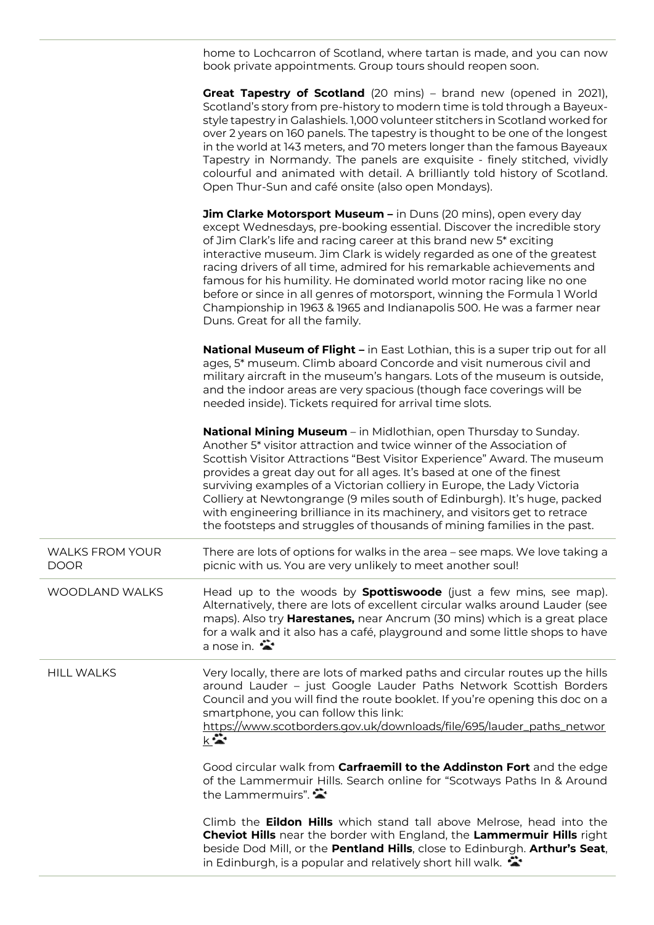home to Lochcarron of Scotland, where tartan is made, and you can now book private appointments. Group tours should reopen soon.

|                                       | Great Tapestry of Scotland (20 mins) - brand new (opened in 2021),<br>Scotland's story from pre-history to modern time is told through a Bayeux-<br>style tapestry in Galashiels. 1,000 volunteer stitchers in Scotland worked for<br>over 2 years on 160 panels. The tapestry is thought to be one of the longest<br>in the world at 143 meters, and 70 meters longer than the famous Bayeaux<br>Tapestry in Normandy. The panels are exquisite - finely stitched, vividly<br>colourful and animated with detail. A brilliantly told history of Scotland.<br>Open Thur-Sun and café onsite (also open Mondays).                          |
|---------------------------------------|-------------------------------------------------------------------------------------------------------------------------------------------------------------------------------------------------------------------------------------------------------------------------------------------------------------------------------------------------------------------------------------------------------------------------------------------------------------------------------------------------------------------------------------------------------------------------------------------------------------------------------------------|
|                                       | Jim Clarke Motorsport Museum - in Duns (20 mins), open every day<br>except Wednesdays, pre-booking essential. Discover the incredible story<br>of Jim Clark's life and racing career at this brand new 5* exciting<br>interactive museum. Jim Clark is widely regarded as one of the greatest<br>racing drivers of all time, admired for his remarkable achievements and<br>famous for his humility. He dominated world motor racing like no one<br>before or since in all genres of motorsport, winning the Formula 1 World<br>Championship in 1963 & 1965 and Indianapolis 500. He was a farmer near<br>Duns. Great for all the family. |
|                                       | National Museum of Flight - in East Lothian, this is a super trip out for all<br>ages, 5* museum. Climb aboard Concorde and visit numerous civil and<br>military aircraft in the museum's hangars. Lots of the museum is outside,<br>and the indoor areas are very spacious (though face coverings will be<br>needed inside). Tickets required for arrival time slots.                                                                                                                                                                                                                                                                    |
|                                       | <b>National Mining Museum</b> – in Midlothian, open Thursday to Sunday.<br>Another 5* visitor attraction and twice winner of the Association of<br>Scottish Visitor Attractions "Best Visitor Experience" Award. The museum<br>provides a great day out for all ages. It's based at one of the finest<br>surviving examples of a Victorian colliery in Europe, the Lady Victoria<br>Colliery at Newtongrange (9 miles south of Edinburgh). It's huge, packed<br>with engineering brilliance in its machinery, and visitors get to retrace<br>the footsteps and struggles of thousands of mining families in the past.                     |
| <b>WALKS FROM YOUR</b><br><b>DOOR</b> | There are lots of options for walks in the area - see maps. We love taking a<br>picnic with us. You are very unlikely to meet another soul!                                                                                                                                                                                                                                                                                                                                                                                                                                                                                               |
| <b>WOODLAND WALKS</b>                 | Head up to the woods by <b>Spottiswoode</b> (just a few mins, see map).<br>Alternatively, there are lots of excellent circular walks around Lauder (see<br>maps). Also try <b>Harestanes,</b> near Ancrum (30 mins) which is a great place<br>for a walk and it also has a café, playground and some little shops to have<br>a nose in. $\ddot{\bullet}$                                                                                                                                                                                                                                                                                  |
| <b>HILL WALKS</b>                     | Very locally, there are lots of marked paths and circular routes up the hills<br>around Lauder - just Google Lauder Paths Network Scottish Borders<br>Council and you will find the route booklet. If you're opening this doc on a<br>smartphone, you can follow this link:<br>https://www.scotborders.gov.uk/downloads/file/695/lauder_paths_networ<br>$k -$                                                                                                                                                                                                                                                                             |
|                                       | Good circular walk from Carfraemill to the Addinston Fort and the edge<br>of the Lammermuir Hills. Search online for "Scotways Paths In & Around<br>the Lammermuirs".                                                                                                                                                                                                                                                                                                                                                                                                                                                                     |
|                                       | Climb the <b>Eildon Hills</b> which stand tall above Melrose, head into the<br>Cheviot Hills near the border with England, the Lammermuir Hills right<br>beside Dod Mill, or the Pentland Hills, close to Edinburgh. Arthur's Seat,<br>in Edinburgh, is a popular and relatively short hill walk. $\ddot{\bullet}$                                                                                                                                                                                                                                                                                                                        |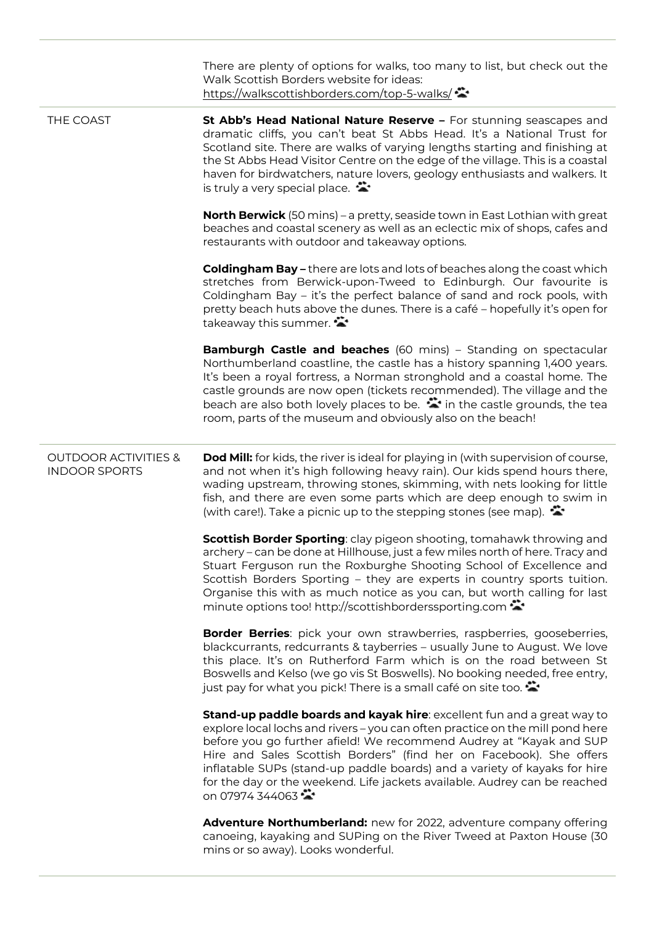|                                                         | There are plenty of options for walks, too many to list, but check out the<br>Walk Scottish Borders website for ideas:<br>https://walkscottishborders.com/top-5-walks/                                                                                                                                                                                                                                                                                                                      |
|---------------------------------------------------------|---------------------------------------------------------------------------------------------------------------------------------------------------------------------------------------------------------------------------------------------------------------------------------------------------------------------------------------------------------------------------------------------------------------------------------------------------------------------------------------------|
| THE COAST                                               | St Abb's Head National Nature Reserve - For stunning seascapes and<br>dramatic cliffs, you can't beat St Abbs Head. It's a National Trust for<br>Scotland site. There are walks of varying lengths starting and finishing at<br>the St Abbs Head Visitor Centre on the edge of the village. This is a coastal<br>haven for birdwatchers, nature lovers, geology enthusiasts and walkers. It<br>is truly a very special place. $\ddot{\bullet}$                                              |
|                                                         | <b>North Berwick</b> (50 mins) - a pretty, seaside town in East Lothian with great<br>beaches and coastal scenery as well as an eclectic mix of shops, cafes and<br>restaurants with outdoor and takeaway options.                                                                                                                                                                                                                                                                          |
|                                                         | <b>Coldingham Bay - there are lots and lots of beaches along the coast which</b><br>stretches from Berwick-upon-Tweed to Edinburgh. Our favourite is<br>Coldingham Bay - it's the perfect balance of sand and rock pools, with<br>pretty beach huts above the dunes. There is a café - hopefully it's open for<br>takeaway this summer.                                                                                                                                                     |
|                                                         | <b>Bamburgh Castle and beaches</b> (60 mins) - Standing on spectacular<br>Northumberland coastline, the castle has a history spanning 1,400 years.<br>It's been a royal fortress, a Norman stronghold and a coastal home. The<br>castle grounds are now open (tickets recommended). The village and the<br>beach are also both lovely places to be. $\ddot{\bullet}$ in the castle grounds, the tea<br>room, parts of the museum and obviously also on the beach!                           |
| <b>OUTDOOR ACTIVITIES &amp;</b><br><b>INDOOR SPORTS</b> | <b>Dod Mill:</b> for kids, the river is ideal for playing in (with supervision of course,<br>and not when it's high following heavy rain). Our kids spend hours there,<br>wading upstream, throwing stones, skimming, with nets looking for little<br>fish, and there are even some parts which are deep enough to swim in<br>(with care!). Take a picnic up to the stepping stones (see map).                                                                                              |
|                                                         | Scottish Border Sporting: clay pigeon shooting, tomahawk throwing and<br>archery – can be done at Hillhouse, just a few miles north of here. Tracy and<br>Stuart Ferguson run the Roxburghe Shooting School of Excellence and<br>Scottish Borders Sporting - they are experts in country sports tuition.<br>Organise this with as much notice as you can, but worth calling for last<br>minute options too! http://scottishborderssporting.com                                              |
|                                                         | Border Berries: pick your own strawberries, raspberries, gooseberries,<br>blackcurrants, redcurrants & tayberries - usually June to August. We love<br>this place. It's on Rutherford Farm which is on the road between St<br>Boswells and Kelso (we go vis St Boswells). No booking needed, free entry,<br>just pay for what you pick! There is a small café on site too.                                                                                                                  |
|                                                         | Stand-up paddle boards and kayak hire: excellent fun and a great way to<br>explore local lochs and rivers - you can often practice on the mill pond here<br>before you go further afield! We recommend Audrey at "Kayak and SUP<br>Hire and Sales Scottish Borders" (find her on Facebook). She offers<br>inflatable SUPs (stand-up paddle boards) and a variety of kayaks for hire<br>for the day or the weekend. Life jackets available. Audrey can be reached<br>on 07974 344063 $\cdot$ |
|                                                         | Adventure Northumberland: new for 2022, adventure company offering<br>canoeing, kayaking and SUPing on the River Tweed at Paxton House (30<br>mins or so away). Looks wonderful.                                                                                                                                                                                                                                                                                                            |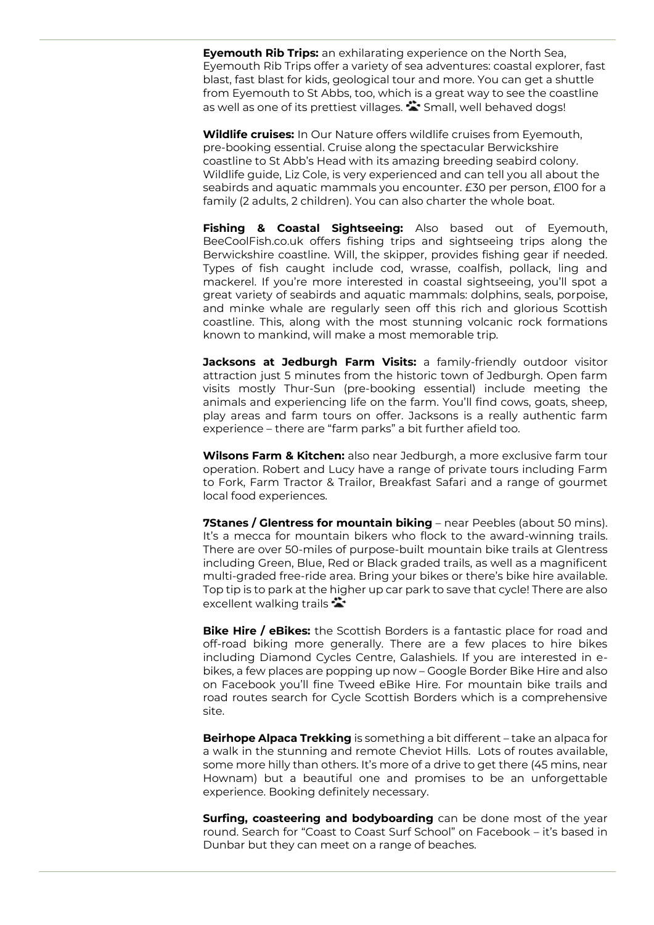**Eyemouth Rib Trips:** an exhilarating experience on the North Sea, Eyemouth Rib Trips offer a variety of sea adventures: coastal explorer, fast blast, fast blast for kids, geological tour and more. You can get a shuttle from Eyemouth to St Abbs, too, which is a great way to see the coastline as well as one of its prettiest villages.  $\bullet\bullet$  Small, well behaved dogs!

**Wildlife cruises:** In Our Nature offers wildlife cruises from Eyemouth, pre-booking essential. Cruise along the spectacular Berwickshire coastline to St Abb's Head with its amazing breeding seabird colony. Wildlife guide, Liz Cole, is very experienced and can tell you all about the seabirds and aquatic mammals you encounter. £30 per person, £100 for a family (2 adults, 2 children). You can also charter the whole boat.

**Fishing & Coastal Sightseeing:** Also based out of Eyemouth, BeeCoolFish.co.uk offers fishing trips and sightseeing trips along the Berwickshire coastline. Will, the skipper, provides fishing gear if needed. Types of fish caught include cod, wrasse, coalfish, pollack, ling and mackerel. If you're more interested in coastal sightseeing, you'll spot a great variety of seabirds and aquatic mammals: dolphins, seals, porpoise, and minke whale are regularly seen off this rich and glorious Scottish coastline. This, along with the most stunning volcanic rock formations known to mankind, will make a most memorable trip.

**Jacksons at Jedburgh Farm Visits:** a family-friendly outdoor visitor attraction just 5 minutes from the historic town of Jedburgh. Open farm visits mostly Thur-Sun (pre-booking essential) include meeting the animals and experiencing life on the farm. You'll find cows, goats, sheep, play areas and farm tours on offer. Jacksons is a really authentic farm experience – there are "farm parks" a bit further afield too.

**Wilsons Farm & Kitchen:** also near Jedburgh, a more exclusive farm tour operation. Robert and Lucy have a range of private tours including Farm to Fork, Farm Tractor & Trailor, Breakfast Safari and a range of gourmet local food experiences.

**7Stanes / Glentress for mountain biking** – near Peebles (about 50 mins). It's a mecca for mountain bikers who flock to the award-winning trails. There are over 50-miles of purpose-built mountain bike trails at Glentress including Green, Blue, Red or Black graded trails, as well as a magnificent multi-graded free-ride area. Bring your bikes or there's bike hire available. Top tip is to park at the higher up car park to save that cycle! There are also excellent walking trails  $\ddot{\bullet}$ 

**Bike Hire / eBikes:** the Scottish Borders is a fantastic place for road and off-road biking more generally. There are a few places to hire bikes including Diamond Cycles Centre, Galashiels. If you are interested in ebikes, a few places are popping up now – Google Border Bike Hire and also on Facebook you'll fine Tweed eBike Hire. For mountain bike trails and road routes search for Cycle Scottish Borders which is a comprehensive site.

**Beirhope Alpaca Trekking** is something a bit different – take an alpaca for a walk in the stunning and remote Cheviot Hills. Lots of routes available, some more hilly than others. It's more of a drive to get there (45 mins, near Hownam) but a beautiful one and promises to be an unforgettable experience. Booking definitely necessary.

**Surfing, coasteering and bodyboarding** can be done most of the year round. Search for "Coast to Coast Surf School" on Facebook – it's based in Dunbar but they can meet on a range of beaches.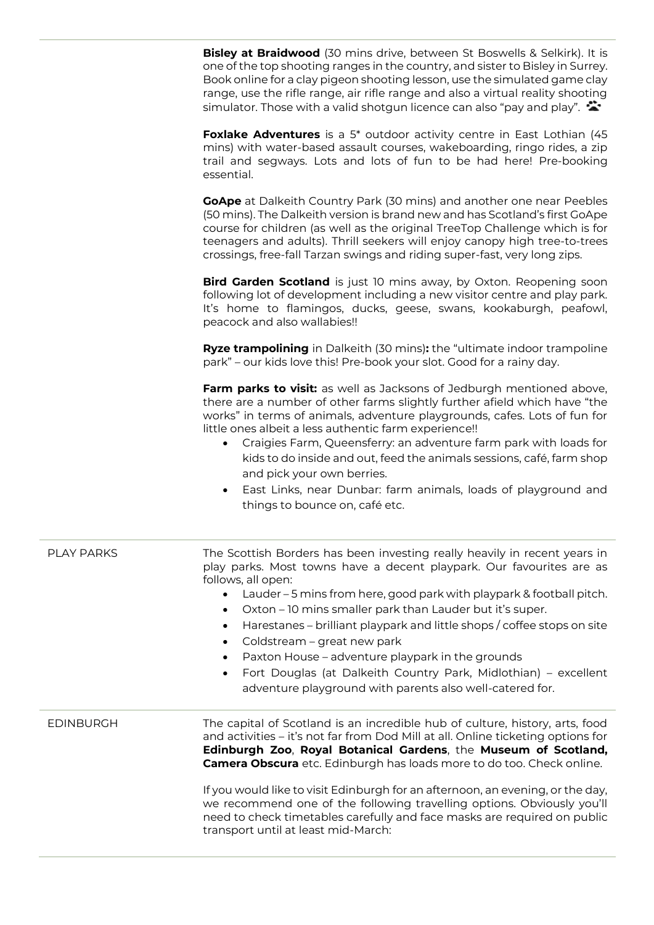**Bisley at Braidwood** (30 mins drive, between St Boswells & Selkirk). It is one of the top shooting ranges in the country, and sister to Bisley in Surrey. Book online for a clay pigeon shooting lesson, use the simulated game clay range, use the rifle range, air rifle range and also a virtual reality shooting simulator. Those with a valid shotgun licence can also "pay and play".  $\ddot{\bullet}$ 

**Foxlake Adventures** is a 5\* outdoor activity centre in East Lothian (45 mins) with water-based assault courses, wakeboarding, ringo rides, a zip trail and segways. Lots and lots of fun to be had here! Pre-booking essential.

**GoApe** at Dalkeith Country Park (30 mins) and another one near Peebles (50 mins). The Dalkeith version is brand new and has Scotland's first GoApe course for children (as well as the original TreeTop Challenge which is for teenagers and adults). Thrill seekers will enjoy canopy high tree-to-trees crossings, free-fall Tarzan swings and riding super-fast, very long zips.

**Bird Garden Scotland** is just 10 mins away, by Oxton. Reopening soon following lot of development including a new visitor centre and play park. It's home to flamingos, ducks, geese, swans, kookaburgh, peafowl, peacock and also wallabies!!

**Ryze trampolining** in Dalkeith (30 mins)**:** the "ultimate indoor trampoline park" – our kids love this! Pre-book your slot. Good for a rainy day.

**Farm parks to visit:** as well as Jacksons of Jedburgh mentioned above, there are a number of other farms slightly further afield which have "the works" in terms of animals, adventure playgrounds, cafes. Lots of fun for little ones albeit a less authentic farm experience!!

- Craigies Farm, Queensferry: an adventure farm park with loads for kids to do inside and out, feed the animals sessions, café, farm shop and pick your own berries.
- East Links, near Dunbar: farm animals, loads of playground and things to bounce on, café etc.

| <b>PLAY PARKS</b> | The Scottish Borders has been investing really heavily in recent years in<br>play parks. Most towns have a decent playpark. Our favourites are as<br>follows, all open:<br>Lauder – 5 mins from here, good park with playpark & football pitch.<br>Oxton - 10 mins smaller park than Lauder but it's super.<br>Harestanes - brilliant playpark and little shops / coffee stops on site<br>Coldstream - great new park<br>Paxton House – adventure playpark in the grounds<br>Fort Douglas (at Dalkeith Country Park, Midlothian) – excellent<br>$\bullet$<br>adventure playground with parents also well-catered for. |
|-------------------|-----------------------------------------------------------------------------------------------------------------------------------------------------------------------------------------------------------------------------------------------------------------------------------------------------------------------------------------------------------------------------------------------------------------------------------------------------------------------------------------------------------------------------------------------------------------------------------------------------------------------|
| <b>EDINBURGH</b>  | The capital of Scotland is an incredible hub of culture, history, arts, food<br>and activities – it's not far from Dod Mill at all. Online ticketing options for<br>Edinburgh Zoo, Royal Botanical Gardens, the Museum of Scotland,<br><b>Camera Obscura</b> etc. Edinburgh has loads more to do too. Check online.<br>If you would like to visit Edinburgh for an afternoon, an evening, or the day,<br>we recommend one of the following travelling options. Obviously you'll<br>need to check timetables carefully and face masks are required on public<br>transport until at least mid-March:                    |